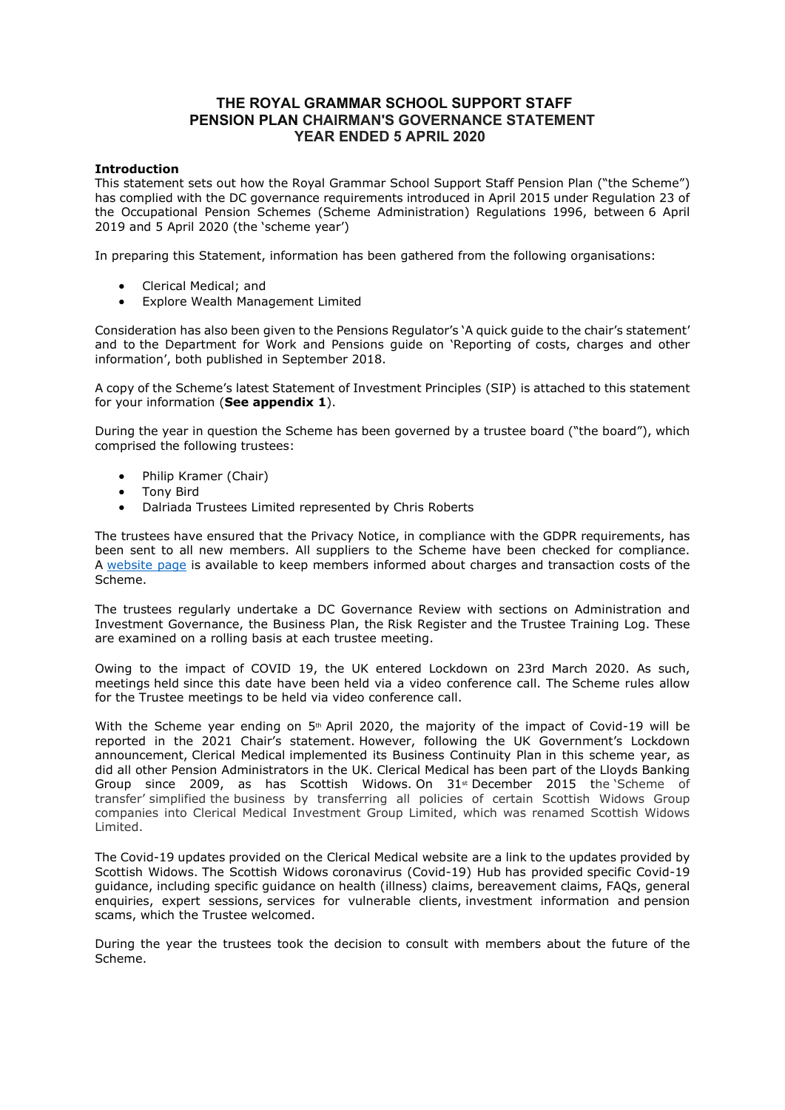# THE ROYAL GRAMMAR SCHOOL SUPPORT STAFF PENSION PLAN CHAIRMAN'S GOVERNANCE STATEMENT YEAR ENDED 5 APRIL 2020

## Introduction

This statement sets out how the Royal Grammar School Support Staff Pension Plan ("the Scheme") has complied with the DC governance requirements introduced in April 2015 under Regulation 23 of the Occupational Pension Schemes (Scheme Administration) Regulations 1996, between 6 April 2019 and 5 April 2020 (the 'scheme year')

In preparing this Statement, information has been gathered from the following organisations:

- Clerical Medical; and
- Explore Wealth Management Limited

Consideration has also been given to the Pensions Regulator's 'A quick guide to the chair's statement' and to the Department for Work and Pensions guide on 'Reporting of costs, charges and other information', both published in September 2018.

A copy of the Scheme's latest Statement of Investment Principles (SIP) is attached to this statement for your information (See appendix 1).

During the year in question the Scheme has been governed by a trustee board ("the board"), which comprised the following trustees:

- Philip Kramer (Chair)
- Tony Bird
- Dalriada Trustees Limited represented by Chris Roberts

The trustees have ensured that the Privacy Notice, in compliance with the GDPR requirements, has been sent to all new members. All suppliers to the Scheme have been checked for compliance. A website page is available to keep members informed about charges and transaction costs of the Scheme.

The trustees regularly undertake a DC Governance Review with sections on Administration and Investment Governance, the Business Plan, the Risk Register and the Trustee Training Log. These are examined on a rolling basis at each trustee meeting.

Owing to the impact of COVID 19, the UK entered Lockdown on 23rd March 2020. As such, meetings held since this date have been held via a video conference call. The Scheme rules allow for the Trustee meetings to be held via video conference call.

With the Scheme year ending on  $5<sup>th</sup>$  April 2020, the majority of the impact of Covid-19 will be reported in the 2021 Chair's statement. However, following the UK Government's Lockdown announcement, Clerical Medical implemented its Business Continuity Plan in this scheme year, as did all other Pension Administrators in the UK. Clerical Medical has been part of the Lloyds Banking Group since 2009, as has Scottish Widows. On  $31<sup>st</sup>$  December 2015 the Scheme of transfer' simplified the business by transferring all policies of certain Scottish Widows Group companies into Clerical Medical Investment Group Limited, which was renamed Scottish Widows Limited.

The Covid-19 updates provided on the Clerical Medical website are a link to the updates provided by Scottish Widows. The Scottish Widows coronavirus (Covid-19) Hub has provided specific Covid-19 guidance, including specific guidance on health (illness) claims, bereavement claims, FAQs, general enquiries, expert sessions, services for vulnerable clients, investment information and pension scams, which the Trustee welcomed.

During the year the trustees took the decision to consult with members about the future of the Scheme.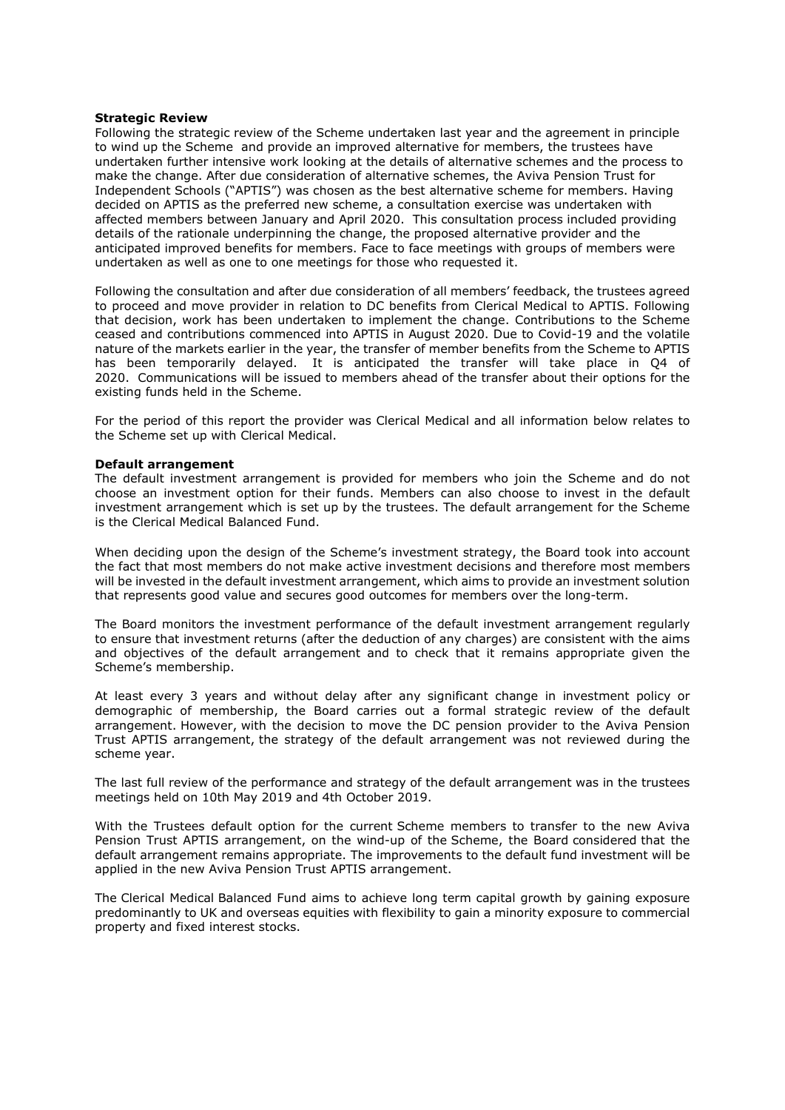### Strategic Review

Following the strategic review of the Scheme undertaken last year and the agreement in principle to wind up the Scheme and provide an improved alternative for members, the trustees have undertaken further intensive work looking at the details of alternative schemes and the process to make the change. After due consideration of alternative schemes, the Aviva Pension Trust for Independent Schools ("APTIS") was chosen as the best alternative scheme for members. Having decided on APTIS as the preferred new scheme, a consultation exercise was undertaken with affected members between January and April 2020. This consultation process included providing details of the rationale underpinning the change, the proposed alternative provider and the anticipated improved benefits for members. Face to face meetings with groups of members were undertaken as well as one to one meetings for those who requested it.

Following the consultation and after due consideration of all members' feedback, the trustees agreed to proceed and move provider in relation to DC benefits from Clerical Medical to APTIS. Following that decision, work has been undertaken to implement the change. Contributions to the Scheme ceased and contributions commenced into APTIS in August 2020. Due to Covid-19 and the volatile nature of the markets earlier in the year, the transfer of member benefits from the Scheme to APTIS has been temporarily delayed. It is anticipated the transfer will take place in Q4 of 2020. Communications will be issued to members ahead of the transfer about their options for the existing funds held in the Scheme.

For the period of this report the provider was Clerical Medical and all information below relates to the Scheme set up with Clerical Medical.

#### Default arrangement

The default investment arrangement is provided for members who join the Scheme and do not choose an investment option for their funds. Members can also choose to invest in the default investment arrangement which is set up by the trustees. The default arrangement for the Scheme is the Clerical Medical Balanced Fund.

When deciding upon the design of the Scheme's investment strategy, the Board took into account the fact that most members do not make active investment decisions and therefore most members will be invested in the default investment arrangement, which aims to provide an investment solution that represents good value and secures good outcomes for members over the long-term.

The Board monitors the investment performance of the default investment arrangement regularly to ensure that investment returns (after the deduction of any charges) are consistent with the aims and objectives of the default arrangement and to check that it remains appropriate given the Scheme's membership.

At least every 3 years and without delay after any significant change in investment policy or demographic of membership, the Board carries out a formal strategic review of the default arrangement. However, with the decision to move the DC pension provider to the Aviva Pension Trust APTIS arrangement, the strategy of the default arrangement was not reviewed during the scheme year.

The last full review of the performance and strategy of the default arrangement was in the trustees meetings held on 10th May 2019 and 4th October 2019.

With the Trustees default option for the current Scheme members to transfer to the new Aviva Pension Trust APTIS arrangement, on the wind-up of the Scheme, the Board considered that the default arrangement remains appropriate. The improvements to the default fund investment will be applied in the new Aviva Pension Trust APTIS arrangement.

The Clerical Medical Balanced Fund aims to achieve long term capital growth by gaining exposure predominantly to UK and overseas equities with flexibility to gain a minority exposure to commercial property and fixed interest stocks.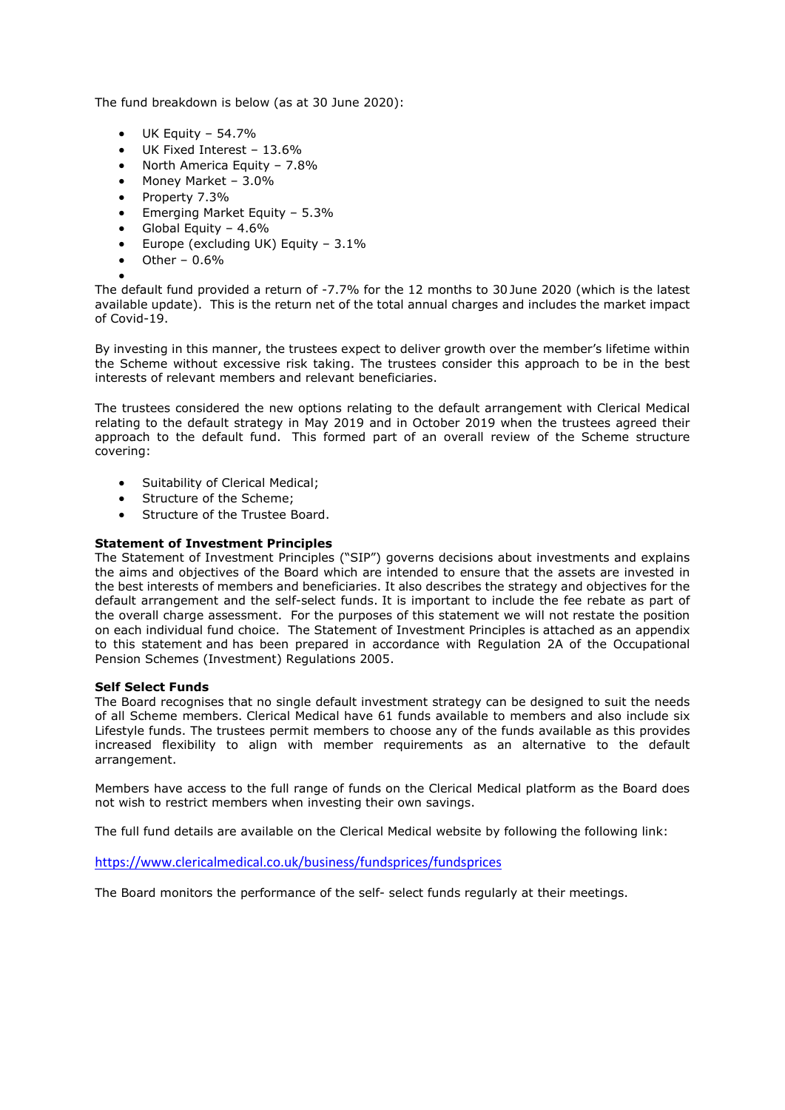The fund breakdown is below (as at 30 June 2020):

- $\bullet$  UK Equity 54.7%
- UK Fixed Interest 13.6%
- North America Equity 7.8%
- Money Market 3.0%
- Property 7.3%
- Emerging Market Equity 5.3%
- Global Equity 4.6%
- Europe (excluding UK) Equity  $3.1\%$
- $\bullet$  Other 0.6%
- $\bullet$

The default fund provided a return of -7.7% for the 12 months to 30 June 2020 (which is the latest available update). This is the return net of the total annual charges and includes the market impact of Covid-19.

By investing in this manner, the trustees expect to deliver growth over the member's lifetime within the Scheme without excessive risk taking. The trustees consider this approach to be in the best interests of relevant members and relevant beneficiaries.

The trustees considered the new options relating to the default arrangement with Clerical Medical relating to the default strategy in May 2019 and in October 2019 when the trustees agreed their approach to the default fund. This formed part of an overall review of the Scheme structure covering:

- Suitability of Clerical Medical;
- Structure of the Scheme;
- Structure of the Trustee Board.

# Statement of Investment Principles

The Statement of Investment Principles ("SIP") governs decisions about investments and explains the aims and objectives of the Board which are intended to ensure that the assets are invested in the best interests of members and beneficiaries. It also describes the strategy and objectives for the default arrangement and the self-select funds. It is important to include the fee rebate as part of the overall charge assessment. For the purposes of this statement we will not restate the position on each individual fund choice. The Statement of Investment Principles is attached as an appendix to this statement and has been prepared in accordance with Regulation 2A of the Occupational Pension Schemes (Investment) Regulations 2005.

# Self Select Funds

The Board recognises that no single default investment strategy can be designed to suit the needs of all Scheme members. Clerical Medical have 61 funds available to members and also include six Lifestyle funds. The trustees permit members to choose any of the funds available as this provides increased flexibility to align with member requirements as an alternative to the default arrangement.

Members have access to the full range of funds on the Clerical Medical platform as the Board does not wish to restrict members when investing their own savings.

The full fund details are available on the Clerical Medical website by following the following link:

https://www.clericalmedical.co.uk/business/fundsprices/fundsprices

The Board monitors the performance of the self- select funds regularly at their meetings.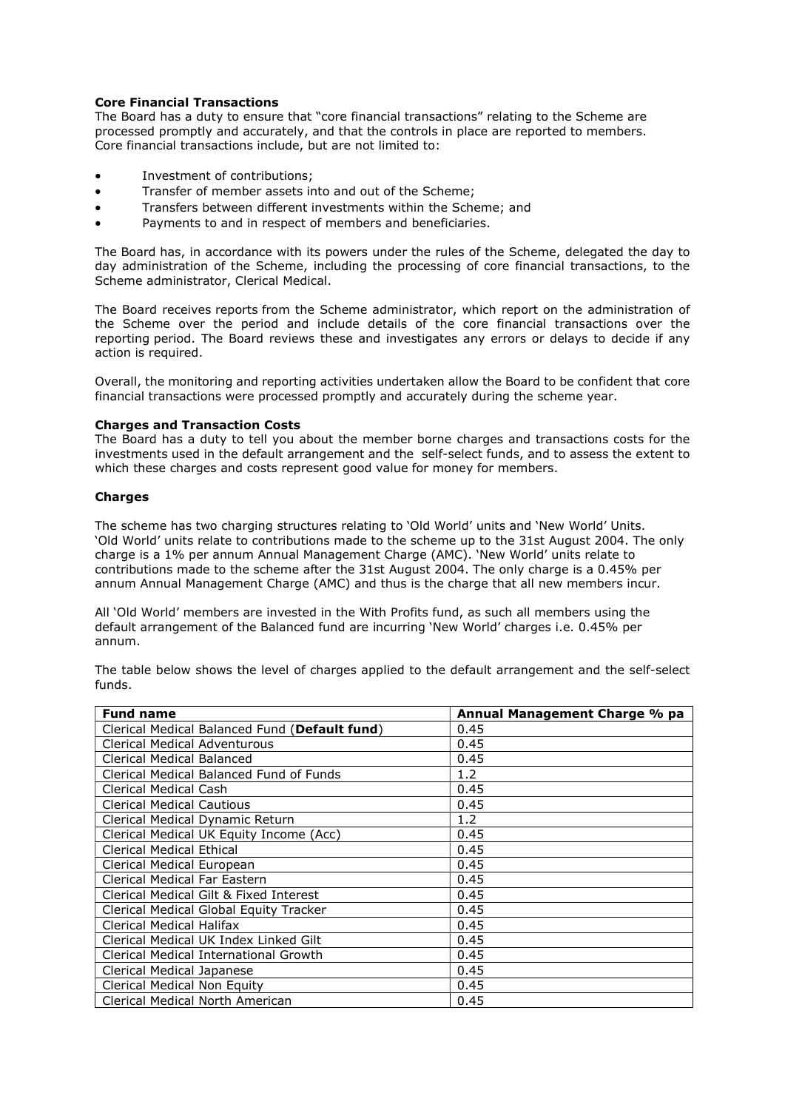# Core Financial Transactions

The Board has a duty to ensure that "core financial transactions" relating to the Scheme are processed promptly and accurately, and that the controls in place are reported to members. Core financial transactions include, but are not limited to:

- Investment of contributions;
- Transfer of member assets into and out of the Scheme;
- Transfers between different investments within the Scheme; and
- Payments to and in respect of members and beneficiaries.

The Board has, in accordance with its powers under the rules of the Scheme, delegated the day to day administration of the Scheme, including the processing of core financial transactions, to the Scheme administrator, Clerical Medical.

The Board receives reports from the Scheme administrator, which report on the administration of the Scheme over the period and include details of the core financial transactions over the reporting period. The Board reviews these and investigates any errors or delays to decide if any action is required.

Overall, the monitoring and reporting activities undertaken allow the Board to be confident that core financial transactions were processed promptly and accurately during the scheme year.

## Charges and Transaction Costs

The Board has a duty to tell you about the member borne charges and transactions costs for the investments used in the default arrangement and the self-select funds, and to assess the extent to which these charges and costs represent good value for money for members.

# **Charges**

The scheme has two charging structures relating to 'Old World' units and 'New World' Units. 'Old World' units relate to contributions made to the scheme up to the 31st August 2004. The only charge is a 1% per annum Annual Management Charge (AMC). 'New World' units relate to contributions made to the scheme after the 31st August 2004. The only charge is a 0.45% per annum Annual Management Charge (AMC) and thus is the charge that all new members incur.

All 'Old World' members are invested in the With Profits fund, as such all members using the default arrangement of the Balanced fund are incurring 'New World' charges i.e. 0.45% per annum.

The table below shows the level of charges applied to the default arrangement and the self-select funds.

| <b>Fund name</b>                              | Annual Management Charge % pa |
|-----------------------------------------------|-------------------------------|
| Clerical Medical Balanced Fund (Default fund) | 0.45                          |
| <b>Clerical Medical Adventurous</b>           | 0.45                          |
| Clerical Medical Balanced                     | 0.45                          |
| Clerical Medical Balanced Fund of Funds       | 1.2                           |
| Clerical Medical Cash                         | 0.45                          |
| <b>Clerical Medical Cautious</b>              | 0.45                          |
| Clerical Medical Dynamic Return               | 1.2                           |
| Clerical Medical UK Equity Income (Acc)       | 0.45                          |
| <b>Clerical Medical Ethical</b>               | 0.45                          |
| Clerical Medical European                     | 0.45                          |
| Clerical Medical Far Eastern                  | 0.45                          |
| Clerical Medical Gilt & Fixed Interest        | 0.45                          |
| Clerical Medical Global Equity Tracker        | 0.45                          |
| Clerical Medical Halifax                      | 0.45                          |
| Clerical Medical UK Index Linked Gilt         | 0.45                          |
| Clerical Medical International Growth         | 0.45                          |
| Clerical Medical Japanese                     | 0.45                          |
| Clerical Medical Non Equity                   | 0.45                          |
| Clerical Medical North American               | 0.45                          |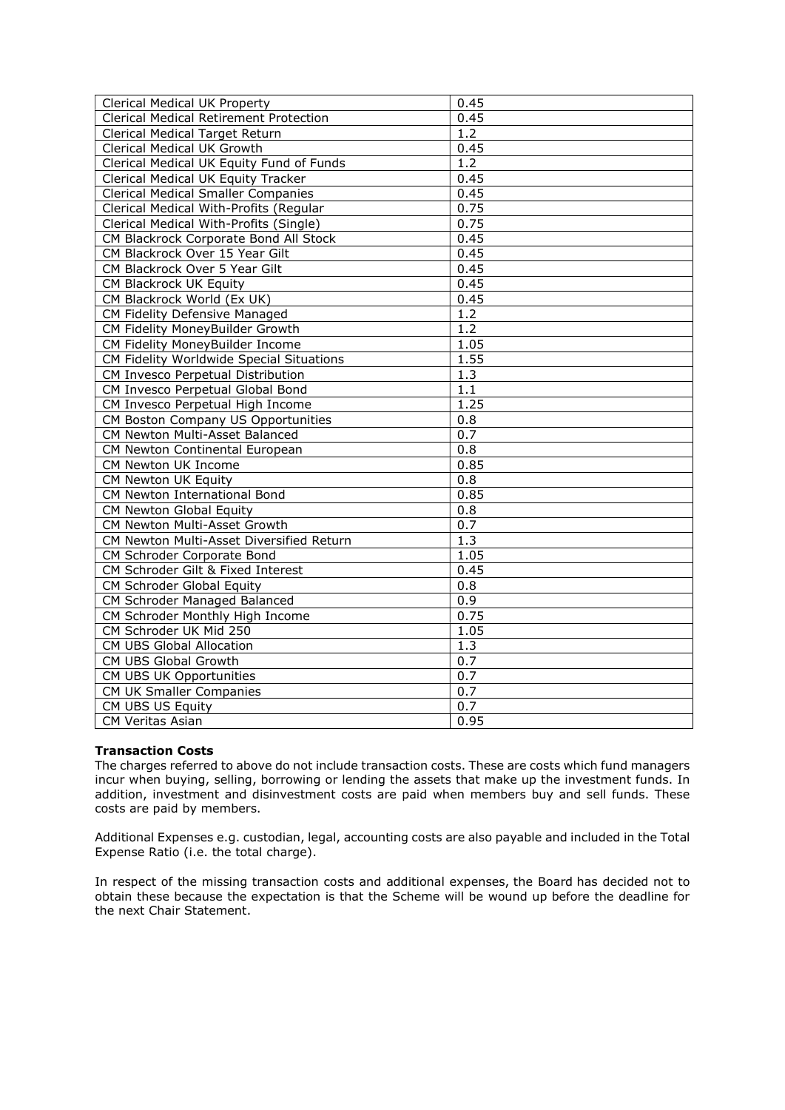| Clerical Medical UK Property<br><b>Clerical Medical Retirement Protection</b> | 0.45<br>0.45     |
|-------------------------------------------------------------------------------|------------------|
| Clerical Medical Target Return                                                | $1.\overline{2}$ |
| <b>Clerical Medical UK Growth</b>                                             | 0.45             |
|                                                                               | $\overline{1.2}$ |
| Clerical Medical UK Equity Fund of Funds                                      |                  |
| Clerical Medical UK Equity Tracker                                            | 0.45             |
| <b>Clerical Medical Smaller Companies</b>                                     | 0.45             |
| Clerical Medical With-Profits (Regular                                        | 0.75             |
| Clerical Medical With-Profits (Single)                                        | 0.75             |
| CM Blackrock Corporate Bond All Stock                                         | 0.45             |
| CM Blackrock Over 15 Year Gilt                                                | 0.45             |
| CM Blackrock Over 5 Year Gilt                                                 | 0.45             |
| CM Blackrock UK Equity                                                        | 0.45             |
| CM Blackrock World (Ex UK)                                                    | 0.45             |
| CM Fidelity Defensive Managed                                                 | $\overline{1.2}$ |
| CM Fidelity MoneyBuilder Growth                                               | $1.\overline{2}$ |
| CM Fidelity MoneyBuilder Income                                               | 1.05             |
| CM Fidelity Worldwide Special Situations                                      | 1.55             |
| CM Invesco Perpetual Distribution                                             | 1.3              |
| CM Invesco Perpetual Global Bond                                              | $\overline{1.1}$ |
| CM Invesco Perpetual High Income                                              | 1.25             |
| CM Boston Company US Opportunities                                            | $\overline{0.8}$ |
| CM Newton Multi-Asset Balanced                                                | 0.7              |
| CM Newton Continental European                                                | 0.8              |
| CM Newton UK Income                                                           | 0.85             |
| <b>CM Newton UK Equity</b>                                                    | 0.8              |
| CM Newton International Bond                                                  | 0.85             |
| CM Newton Global Equity                                                       | 0.8              |
| CM Newton Multi-Asset Growth                                                  | 0.7              |
| CM Newton Multi-Asset Diversified Return                                      | 1.3              |
| CM Schroder Corporate Bond                                                    | 1.05             |
| CM Schroder Gilt & Fixed Interest                                             | 0.45             |
| CM Schroder Global Equity                                                     | 0.8              |
| CM Schroder Managed Balanced                                                  | $\overline{0.9}$ |
| CM Schroder Monthly High Income                                               | 0.75             |
| CM Schroder UK Mid 250                                                        | 1.05             |
| CM UBS Global Allocation                                                      | $\overline{1.3}$ |
| CM UBS Global Growth                                                          | $\overline{0.7}$ |
|                                                                               | 0.7              |
| CM UBS UK Opportunities                                                       |                  |
| CM UK Smaller Companies                                                       | 0.7              |
| CM UBS US Equity                                                              | 0.7              |
| <b>CM Veritas Asian</b>                                                       | 0.95             |

# Transaction Costs

The charges referred to above do not include transaction costs. These are costs which fund managers incur when buying, selling, borrowing or lending the assets that make up the investment funds. In addition, investment and disinvestment costs are paid when members buy and sell funds. These costs are paid by members.

Additional Expenses e.g. custodian, legal, accounting costs are also payable and included in the Total Expense Ratio (i.e. the total charge).

In respect of the missing transaction costs and additional expenses, the Board has decided not to obtain these because the expectation is that the Scheme will be wound up before the deadline for the next Chair Statement.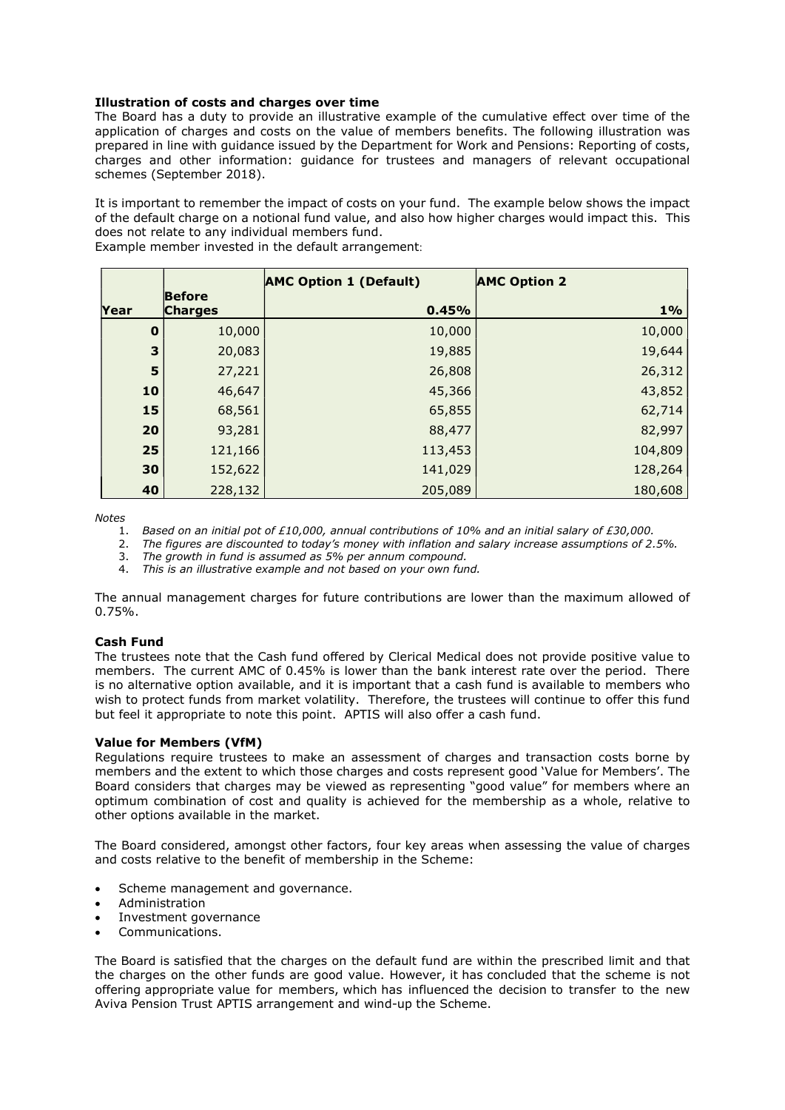# Illustration of costs and charges over time

The Board has a duty to provide an illustrative example of the cumulative effect over time of the application of charges and costs on the value of members benefits. The following illustration was prepared in line with guidance issued by the Department for Work and Pensions: Reporting of costs, charges and other information: guidance for trustees and managers of relevant occupational schemes (September 2018).

It is important to remember the impact of costs on your fund. The example below shows the impact of the default charge on a notional fund value, and also how higher charges would impact this. This does not relate to any individual members fund.

Example member invested in the default arrangement:

|             |                                 | <b>AMC Option 1 (Default)</b> | <b>AMC Option 2</b> |
|-------------|---------------------------------|-------------------------------|---------------------|
| Year        | <b>Before</b><br><b>Charges</b> | 0.45%                         | $1\%$               |
| $\mathbf 0$ | 10,000                          | 10,000                        | 10,000              |
| 3           | 20,083                          | 19,885                        | 19,644              |
| 5           | 27,221                          | 26,808                        | 26,312              |
| 10          | 46,647                          | 45,366                        | 43,852              |
| 15          | 68,561                          | 65,855                        | 62,714              |
| 20          | 93,281                          | 88,477                        | 82,997              |
| 25          | 121,166                         | 113,453                       | 104,809             |
| 30          | 152,622                         | 141,029                       | 128,264             |
| 40          | 228,132                         | 205,089                       | 180,608             |

Notes

- 1. Based on an initial pot of £10,000, annual contributions of 10% and an initial salary of £30,000.
- 2. The figures are discounted to today's money with inflation and salary increase assumptions of 2.5%.
- 3. The growth in fund is assumed as 5% per annum compound.
- 4. This is an illustrative example and not based on your own fund.

The annual management charges for future contributions are lower than the maximum allowed of 0.75%.

# Cash Fund

The trustees note that the Cash fund offered by Clerical Medical does not provide positive value to members. The current AMC of 0.45% is lower than the bank interest rate over the period. There is no alternative option available, and it is important that a cash fund is available to members who wish to protect funds from market volatility. Therefore, the trustees will continue to offer this fund but feel it appropriate to note this point. APTIS will also offer a cash fund.

### Value for Members (VfM)

Regulations require trustees to make an assessment of charges and transaction costs borne by members and the extent to which those charges and costs represent good 'Value for Members'. The Board considers that charges may be viewed as representing "good value" for members where an optimum combination of cost and quality is achieved for the membership as a whole, relative to other options available in the market.

The Board considered, amongst other factors, four key areas when assessing the value of charges and costs relative to the benefit of membership in the Scheme:

- Scheme management and governance.
- **Administration**
- Investment governance
- Communications.

The Board is satisfied that the charges on the default fund are within the prescribed limit and that the charges on the other funds are good value. However, it has concluded that the scheme is not offering appropriate value for members, which has influenced the decision to transfer to the new Aviva Pension Trust APTIS arrangement and wind-up the Scheme.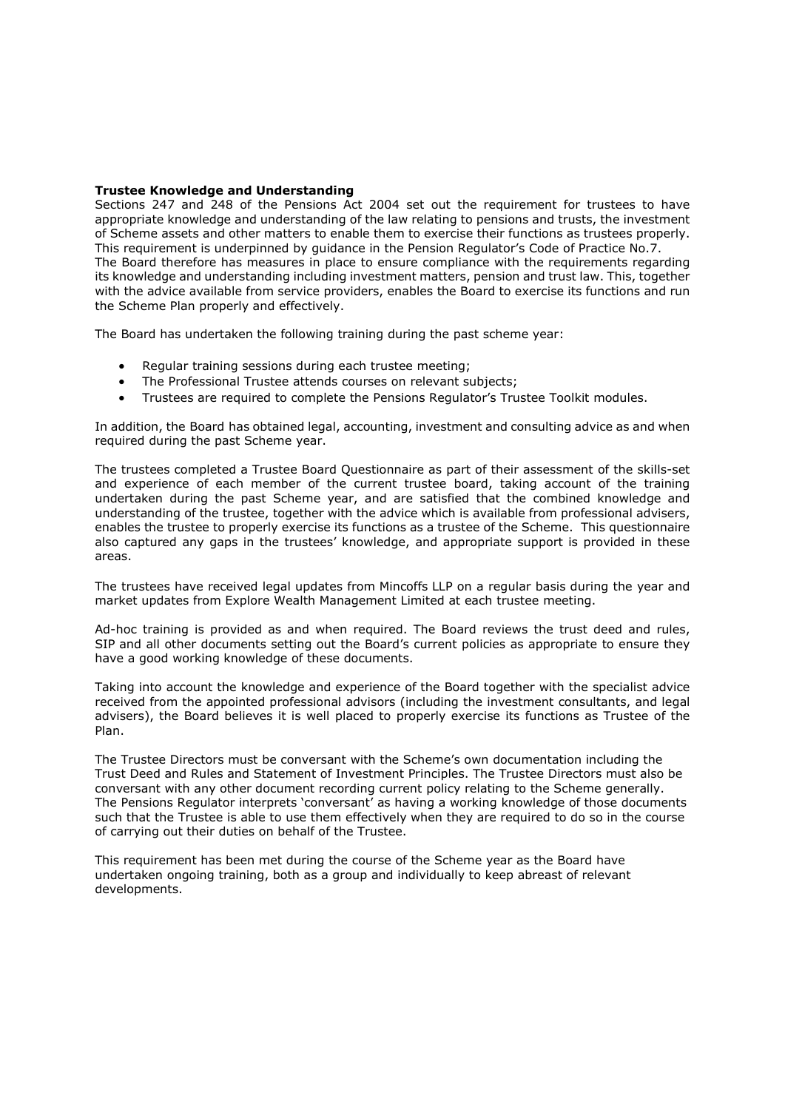## Trustee Knowledge and Understanding

Sections 247 and 248 of the Pensions Act 2004 set out the requirement for trustees to have appropriate knowledge and understanding of the law relating to pensions and trusts, the investment of Scheme assets and other matters to enable them to exercise their functions as trustees properly. This requirement is underpinned by guidance in the Pension Regulator's Code of Practice No.7. The Board therefore has measures in place to ensure compliance with the requirements regarding its knowledge and understanding including investment matters, pension and trust law. This, together with the advice available from service providers, enables the Board to exercise its functions and run the Scheme Plan properly and effectively.

The Board has undertaken the following training during the past scheme year:

- Regular training sessions during each trustee meeting;
- The Professional Trustee attends courses on relevant subjects;
- Trustees are required to complete the Pensions Regulator's Trustee Toolkit modules.

In addition, the Board has obtained legal, accounting, investment and consulting advice as and when required during the past Scheme year.

The trustees completed a Trustee Board Questionnaire as part of their assessment of the skills-set and experience of each member of the current trustee board, taking account of the training undertaken during the past Scheme year, and are satisfied that the combined knowledge and understanding of the trustee, together with the advice which is available from professional advisers, enables the trustee to properly exercise its functions as a trustee of the Scheme. This questionnaire also captured any gaps in the trustees' knowledge, and appropriate support is provided in these areas.

The trustees have received legal updates from Mincoffs LLP on a regular basis during the year and market updates from Explore Wealth Management Limited at each trustee meeting.

Ad-hoc training is provided as and when required. The Board reviews the trust deed and rules, SIP and all other documents setting out the Board's current policies as appropriate to ensure they have a good working knowledge of these documents.

Taking into account the knowledge and experience of the Board together with the specialist advice received from the appointed professional advisors (including the investment consultants, and legal advisers), the Board believes it is well placed to properly exercise its functions as Trustee of the Plan.

The Trustee Directors must be conversant with the Scheme's own documentation including the Trust Deed and Rules and Statement of Investment Principles. The Trustee Directors must also be conversant with any other document recording current policy relating to the Scheme generally. The Pensions Regulator interprets 'conversant' as having a working knowledge of those documents such that the Trustee is able to use them effectively when they are required to do so in the course of carrying out their duties on behalf of the Trustee.

This requirement has been met during the course of the Scheme year as the Board have undertaken ongoing training, both as a group and individually to keep abreast of relevant developments.